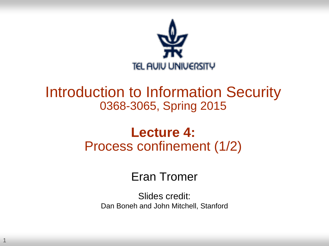

#### Introduction to Information Security 0368-3065, Spring 2015

#### **Lecture 4:** Process confinement (1/2)

#### Eran Tromer

Slides credit: Dan Boneh and John Mitchell, Stanford

1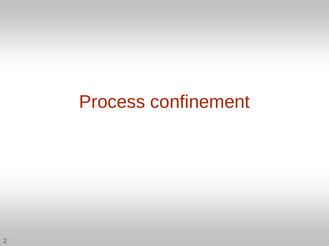## Process confinement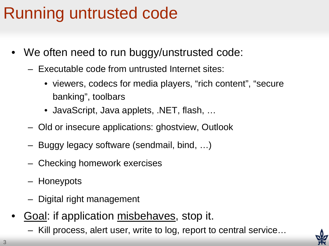## Running untrusted code

- We often need to run buggy/unstrusted code:
	- Executable code from untrusted Internet sites:
		- viewers, codecs for media players, "rich content", "secure banking", toolbars
		- JavaScript, Java applets, .NET, flash, …
	- Old or insecure applications: ghostview, Outlook
	- Buggy legacy software (sendmail, bind, …)
	- Checking homework exercises
	- Honeypots
	- Digital right management
- Goal: if application misbehaves, stop it.
	- Kill process, alert user, write to log, report to central service…

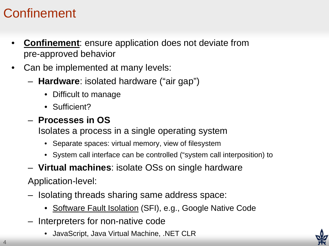#### **Confinement**

- **Confinement**: ensure application does not deviate from pre-approved behavior
- Can be implemented at many levels:
	- **Hardware**: isolated hardware ("air gap")
		- Difficult to manage
		- Sufficient?

#### – **Processes in OS**

Isolates a process in a single operating system

- Separate spaces: virtual memory, view of filesystem
- System call interface can be controlled ("system call interposition) to
- **Virtual machines**: isolate OSs on single hardware

Application-level:

- Isolating threads sharing same address space:
	- Software Fault Isolation (SFI), e.g., Google Native Code
- Interpreters for non-native code
	- JavaScript, Java Virtual Machine, .NET CLR

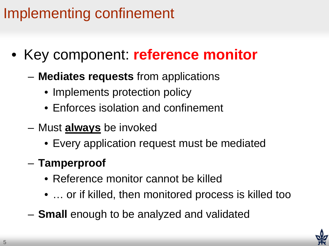## Implementing confinement

- Key component: **reference monitor**
	- **Mediates requests** from applications
		- Implements protection policy
		- Enforces isolation and confinement
	- Must **always** be invoked
		- Every application request must be mediated
	- **Tamperproof**
		- Reference monitor cannot be killed
		- … or if killed, then monitored process is killed too
	- **Small** enough to be analyzed and validated

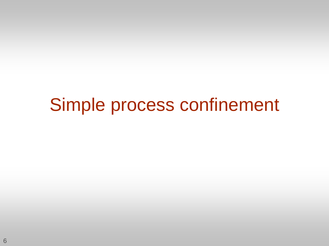# Simple process confinement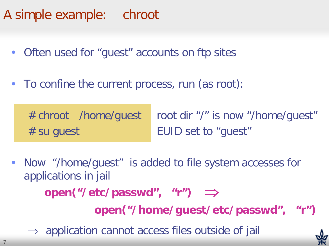A simple example: chroot

- Often used for "guest" accounts on ftp sites
- To confine the current process, run (as root):

# chroot /home/guest root dir "/" is now "/home/guest" # su guest EUID set to "guest"

• Now "/home/guest" is added to file system accesses for applications in jail **open("/etc/passwd", "r")** ⇒ **open("/home/guest/etc/passwd", "r")**

 $\Rightarrow$  application cannot access files outside of jail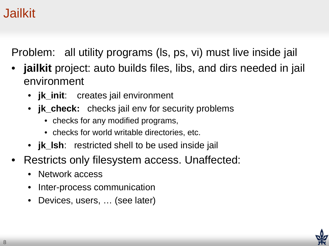#### Jailkit

Problem: all utility programs (ls, ps, vi) must live inside jail

- jailkit project: auto builds files, libs, and dirs needed in jail environment
	- **jk\_init**: creates jail environment
	- **ik\_check:** checks jail env for security problems
		- checks for any modified programs,
		- checks for world writable directories, etc.
	- **jk\_lsh**: restricted shell to be used inside jail
- Restricts only filesystem access. Unaffected:
	- Network access
	- Inter-process communication
	- Devices, users, … (see later)

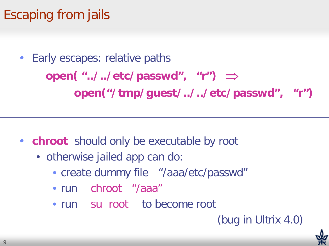## Escaping from jails

Early escapes: relative paths **open( "../../etc/passwd", "r")** ⇒ **open("/tmp/guest/../../etc/passwd", "r")**

- **chroot** should only be executable by root
	- otherwise jailed app can do:
		- create dummy file "/aaa/etc/passwd"
		- run chroot "/aaa"
		- run su root to become root

#### (bug in Ultrix 4.0)

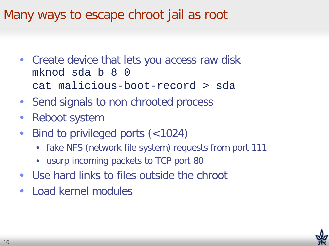#### Many ways to escape chroot jail as root

- Create device that lets you access raw disk mknod sda b 8 0 cat malicious-boot-record > sda
- Send signals to non chrooted process
- Reboot system
- Bind to privileged ports (<1024)
	- fake NFS (network file system) requests from port 111
	- usurp incoming packets to TCP port 80
- Use hard links to files outside the chroot
- Load kernel modules

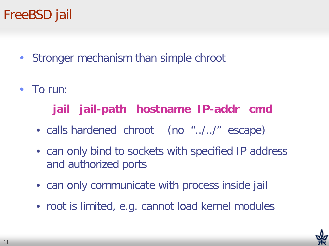#### FreeBSD jail

- Stronger mechanism than simple chroot
- To run:

#### **jail jail-path hostname IP-addr cmd**

- calls hardened chroot (no "../../" escape)
- can only bind to sockets with specified IP address and authorized ports
- can only communicate with process inside jail
- root is limited, e.g. cannot load kernel modules

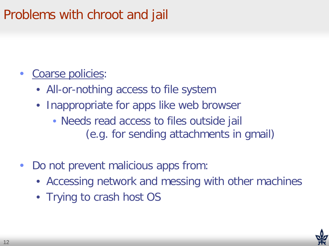#### Problems with chroot and jail

- Coarse policies:
	- All-or-nothing access to file system
	- Inappropriate for apps like web browser
		- Needs read access to files outside jail (e.g. for sending attachments in gmail)
- Do not prevent malicious apps from:
	- Accessing network and messing with other machines
	- Trying to crash host OS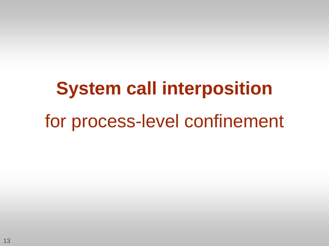# **System call interposition** for process-level confinement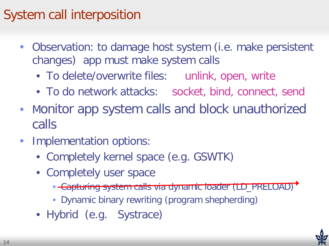#### System call interposition

- Observation: to damage host system (i.e. make persistent changes) app must make system calls
	- To delete/overwrite files: unlink, open, write
	- To do network attacks: socket, bind, connect, send
- Monitor app system calls and block unauthorized calls
- Implementation options:
	- Completely kernel space (e.g. GSWTK)
	- Completely user space
		- Capturing system calls via dynamic loader (LD\_PRELOAD)
		- Dynamic binary rewriting (program shepherding)
	- Hybrid (e.g. Systrace)

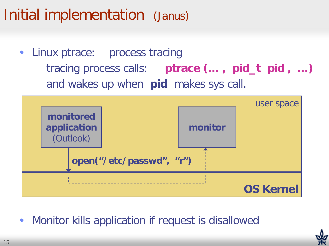## Initial implementation (Janus)

Linux ptrace: process tracing tracing process calls: **ptrace (… , pid\_t pid , …)** and wakes up when **pid** makes sys call.



• Monitor kills application if request is disallowed

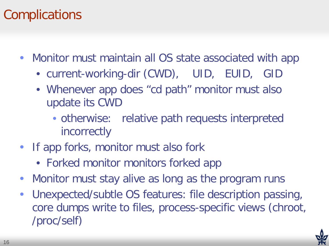#### **Complications**

- Monitor must maintain all OS state associated with app
	- current-working-dir (CWD), UID, EUID, GID
	- Whenever app does "cd path" monitor must also update its CWD
		- otherwise: relative path requests interpreted incorrectly
- If app forks, monitor must also fork
	- Forked monitor monitors forked app
- Monitor must stay alive as long as the program runs
- Unexpected/subtle OS features: file description passing, core dumps write to files, process-specific views (chroot, /proc/self)

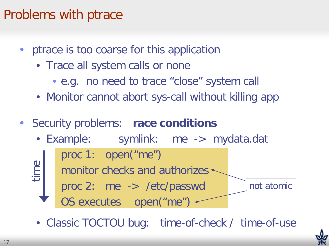#### Problems with ptrace

- ptrace is too coarse for this application
	- Trace all system calls or none
		- e.g. no need to trace "close" system call
	- Monitor cannot abort sys-call without killing app
- Security problems: **race conditions**



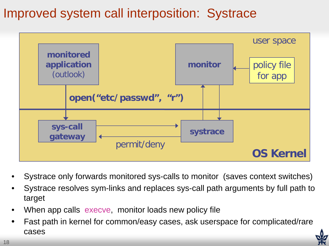#### Improved system call interposition: Systrace



- Systrace only forwards monitored sys-calls to monitor (saves context switches)
- Systrace resolves sym-links and replaces sys-call path arguments by full path to target
- When app calls execve, monitor loads new policy file
- Fast path in kernel for common/easy cases, ask userspace for complicated/rare cases